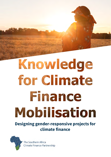# Knowledge FOI CINERAL MODISALON

**Designing gender-responsive projects for climate finance**



The Southern Africa Climate Finance Partnership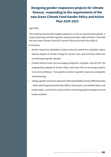# **Designing gender-responsive projects for climate finance; responding to the requirements of the new Green Climate Fund Gender Policy and Action Plan 2020-2023**

#### April 2020

This briefing note provides targeted guidance on how to operationalise gender in project planning, and what a gender-responsive project might look like, in line with the new Green Climate Fund (GCF) Gender Policy and Action Plan 2020-23.

In summary;

- Gender-responsive adaptation projects have the potential to equitably reduce adverse impacts of climate change for women, men, girls and boys whilst also contributing to gender equality.
- Climate finance funds are encouraging integration of gender, and the GCF has progressively updated its Gender Policy and Action Plan to encourage projects to be more ambitious - from gender-sensitive to gender-responsive and gender mainstreaming.
- Taking a gender-responsive approach is the responsibility of many different parties - Nationally Designated Authorities (NDAs), focal points, Accredited Entities, and project teams, and involves actions before and during project development and implementation.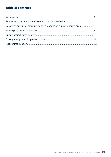# **Table of contents**

| Designing and implementing gender-responsive climate change projects8 |  |
|-----------------------------------------------------------------------|--|
|                                                                       |  |
|                                                                       |  |
|                                                                       |  |
|                                                                       |  |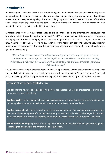## **Introduction**

Increasing gender-responsiveness in the programming of climate related activities or investments presents an opportunity to equitably reduce the adverse impacts of climate change for women, men, girls and boys, as well as to achieve gender equality. This is particularly important in the context of southern Africa where social constructions of gender roles and gender inequality means that women tend to be more vulnerable and limited in their capacity to adapt to climate change.

Climate finance providers require that adaptation projects are designed, implemented, monitored, reported on and evaluated with gender implications in mind. The GCF in particular aims to take a progressive approach, in-keeping with its ethos to fund projects that have paradigm shift potential. Since being operationalised in 2015, it has released two updates to its initial Gender Policy and Action Plan, each one encouraging successively more progressive approaches, from gender-sensitive to gender-responsive adaptation (and mitigation), and gender mainstreaming.

*"The challenge remains to work toward systematic integration and go beyond a gender 'add-on'. A truly gender-responsive approach to funding climate actions will not only address how funding decisions are made and implemented, but will fundamentally alter the focus of funding operations." -* Schalatek, 2019 p 3

This policy brief seeks to distinguish between different approaches towards gender mainstreaming in the context of climate finance, and in particular describe how to operationalise a "gender-responsive" approach in project development and implementation in light of the GCF Gender Policy and Action Plan 2020-23.

#### **Meaning of key gender-related terms**

**Gender** refers to how societies and specific cultures assign roles and ascribe characteristics to men and women on the basis of their sex.

**Gender equality** refers to equal rights, power, responsibilities and opportunities for women and men, as well as equal consideration of the interests, needs and priorities of women and men.

**Gender equity** refers to the process of being fair to women and men. To ensure equity, measures often need to be taken to compensate for (or reduce) disparity for historical and social disadvantages that prevent women and men from otherwise operating on an equitable basis. Equity, therefore, leads to equality.

**Gender mainstreaming** is a process of assessing the implications for people of different genders throughout the strategy and operations of a programme or organisation.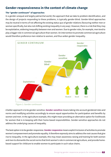## **Gender-responsiveness in the context of climate change**

#### **The "gender continuum" of approaches**

In a gender unequal and largely patriarchal world, the approach that we take to problem identification, and the design of projects responding to these problems, is typically gender-blind. Gender-blind approaches may be neutral in terms of not affecting the existing status quo of gender relations (favouring neither men or woman specifically, but also not shifting existing inequality in any way). However, there is a risk that they may be exploitative, widening inequality between men and women. Due to gender roles, for example, men tend to play a bigger role in commercial agriculture than women. An intervention to promote commercial agriculture would therefore preference men relative to women, and thus widen gender inequality.



Figure 1: Gender continuum

A better approach is to be gender-sensitive. **Gender-sensitive** means taking into account gendered roles and norms and modifying activities accordingly to ensure equal opportunities for participation and benefits by women and men. In the agriculture example, this might mean providing an alternative option for livelihoods for women that is in-keeping with their home-based responsibilities. Gender-sensitive approaches do not address the underlying causes of inequality.

The best option is to be gender-responsive.**Gender-responsive** means explicit inclusion of activities to promote women's empowerment and promote equality. It therefore expressly aims to address the root causes that give rise to inequality. In the agriculture example, this may mean awareness raising and training for both women and men to dismantle the social norms that limit women's role in commercial agriculture, and provide homebased support for childcare to enable women to participate in such value chains.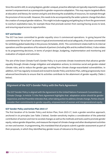Since the world is still, to varying degrees, gender-unequal, proactive attempts are typically required to support women's empowerment as a prerequisite to gender-responsive adaptation. This may require targeted efforts at education and literacy for women and girls and directing the availability of resources, for example through the provision of microcredit. However, this needs to be accompanied by the wider systemic change that alters the creation of unequal gender relations. This might include engaging and getting buy in from the government to overturn exploitative laws, for example those that preclude women from owning/having access to land, and ensuring equal access to opportunities.

#### **GCF and Gender**

The GCF has been committed to gender equality since it commenced operations. In going beyond the commitment to "do no harm" as shown in typical environmental and social safeguards, it has been commended for exhibiting global leadership in the process (Schalatek, 2019). This commitment relates both to its internal operations and the operations of its network of partners (including NDs and Accredited Entities). It also relates to its programming decisions, in terms of project design, budgeting, implementation and monitoring and evaluation of outputs and outcomes.

The aim of the Green Climate Fund's Gender Policy is to promote climate investments that advance gender equality through climate change mitigation and adaptation actions; to minimise social and gender-related climate risks; and to reduce the gender gap resulting from climate change-exacerbated vulnerabilities. In addition, GCF has regularly reviewed and revised its Gender Policy and Action Plan, setting progressively more advanced benchmarks to ensure that its activities contribute to the attainment of gender equality (Table 1 below).

## **Alignment of the GCF's Gender Policy with the Paris Agreement**

The GCF Gender Policy is aligned with the Agreement to the United Nations Framework Convention on Climate Change. In Article 7.5 the Paris Agreement highlights that adaptation action should be genderresponsive; and the Preamble reiterates that, when taking action to address climate change, Parties should consider their commitments to gender equality, empowerment of women and intergenerational equity.

#### **GCF Gender Policy and Action Plan 2015-17**

The first iteration of its Gender Policy and Action Plan, from 2015-17, took a gender-sensitive approach, anchored in six principles (see Table 2 below). Gender-sensitivity implies a consideration of the potential contribution of women and men to societal changes as well as the methods and tools used to promote gender equity, reduce gender disparities, and measure the impact of climate change and other development activities on men and women. In programming, this mandated that all projects submit a gender assessment as part of their proposals, in which they identified key gender issues of relevance to the project.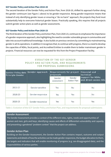#### **GCF Gender Policy and Action Plan 2018-20**

The second iteration of the Gender Policy and Action Plan, from 2018-20, shifted its approach further along the gender continuum (see Figure 1 above) to be gender-responsive. Being gender-responsive means that instead of only identifying gender issues or ensuring a "do no harm" approach, the projects they fund must substantially help to overcome historical gender biases. Practically speaking, this requires that all projects submit gender action plans as well as gender assessments.

#### **GCF Gender Policy and Action Plan 2020-23**

The third iteration of the Gender Policy and Action Plan, from 2020-23, continues to emphasise the importance of a gender-responsive approach, also highlighting the need to consider vulnerable groups in communities and take into account traditional knowledge. It also builds on previous versions by committing to mainstreaming gender in all its operations. In addition it recognises that, to continue with progress, there is a need to develop the capacities of NDAs, focal points, and Accredited Entities to enable them to better mainstream gender in projects. Financial resources can now be requested for this from the Project Preparation Facility.

## **EVOLUTION OF THE GCF GENDER** POLICY AND ACTION PLAN, AND REQUIREMENTS **FOR PROPOSAL SUBMISSIONS**

| <b>Gender Policy date</b><br><b>Principle Gender</b> | Gender approach   | Requirements for project<br>proposals |                              | <b>Financial and</b><br>technical         |
|------------------------------------------------------|-------------------|---------------------------------------|------------------------------|-------------------------------------------|
|                                                      |                   | Gender<br>assessment                  | Gender<br><b>Action Plan</b> | support for NDAs<br>and direct access AEs |
| 2015-17                                              | Gender-sensitive  | Yes                                   | No                           | No.                                       |
| 2018-20                                              | Gender-responsive | Yes                                   | Yes                          | No.                                       |
| 2020-23                                              | Gender-responsive | Yes                                   | Yes                          | Yes                                       |

Table 1: Evolution of the GCF Gender Policy and Action Plan, and requirements for proposal submissions

#### **Gender Assessment**

The Gender Assessment provides a context of the different roles, rights, needs and opportunities of women and men, girls and boys, identifying causes and effects of differential vulnerability and capacity and presenting a gendered "problem context" that the project can address.

## **Gender Action Plan**

Building on the Gender Assessment, the Gender Action Plan contains impact, outcome and output statements and details of how the activities can be made gender-responsive, the budget allocation to them, the targets and indicators that will enable monitoring of progress (e.g. sex-disaggregated data), and the responsibilities of various parties.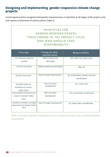## **Designing and implementing gender-responsive climate change projects**

Current good practice recognises that gender-responsiveness is important at all stages of the project cycle and requires involvement of various parties (Table 2).

| GENDER-RESPONSIVENESS,<br>THEIR TIMING IN THE PROJECT CYCLE,<br><b>AND WHO SHOULD TAKE</b><br><b>RESPONSIBILITY</b> |                                          |                                                  |  |  |
|---------------------------------------------------------------------------------------------------------------------|------------------------------------------|--------------------------------------------------|--|--|
| Principle                                                                                                           | <b>Timing for first</b><br>consideration | Responsibility                                   |  |  |
| Commitment to gender<br>equality                                                                                    | Before projects are<br>developed         | GCF, NDA, AE, project team                       |  |  |
| Country ownership                                                                                                   | Before projects are developed            | NDA, AE                                          |  |  |
| Gender assessment                                                                                                   | Start of project development             | AE, project team, women and men<br>beneficiaries |  |  |
| Equitable resource<br>allocation (in Gender<br>Action Plan)                                                         | Start of project<br>development          | AE, project team                                 |  |  |
| Accountability for results and<br>impact (in Gender Action<br>Plan)                                                 | Start of project<br>development          | AE, project team, beneficiaries                  |  |  |
| Inclusion of women in project<br>governance (in Gender Action<br>Plan)                                              | Start of project development             | AE, project team, beneficiaries                  |  |  |

Table 2: Principles for gender-responsiveness, their timing in the project cycle, and who should take responsibility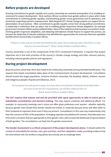## **Before projects are developed**

Ensuring commitment to gender equality and country ownership are essential prerequisites of an enabling environment for project development. Most southern African countries have gender policies in place which make commitments to achieving gender equality, mainstreaming gender across government and its operations, and proactively supporting women's empowerment. Well-designed GCF climate change projects can support the implementation of such policies. Often commitment to gender equality comes from strong political commitment, or leadership in institutions that can play a role in enabling gender-responsive climate adaptation, for example government ministries (NDAs) and Accredited Entities. Many of the institutions that have been successful in implementing gender-responsive adaptation, and obtaining international climate finance to support the process, are because the leadership of relevant institutions has identified the opportunities for outcomes that have equitable benefits (Direct Access Entity in southern Africa).

*"If there is a will, and we can have the board see the same views as the executive, then there is a way and you can move forward" -* Direct Access Entity in southern Africa

Country ownership is one of the components of the GCF's Investment Framework. It requires that project objectives are in line with priorities of the country's climate change strategy and other relevant policies, including national gender policies and regulations.

# **During project development**

Beyond country ownership, there also needs to be community ownership among intended beneficiaries. This requires that ample consultation takes place at the commencement of project development. Consultation should involve the target population, inclusive of ethnic minorities, the disabled, elderly, children, women and indigenous peoples (Fayolle and Odianose, 2017).

*Your proposal can look good on paper, but if you have not achieved community ownership before you move to tick the GCF requirements, you will face setbacks later on" -* Direct Access Entity in southern Africa

**The GCF requires that women and men be provided with equal opportunity to take an active part in stakeholder consultations and decision-making.** This may require creativity and additional efforts. For example, in community meetings men's voices are often given preference over women - whether explicitly because gender roles dictate that women should not intend, or implicitly because wives will often defer to their husbands to represent them even if they are present. Consultations in this case may inadvertently only hear the concerns of 50% of the population. Arranging separate consultations for women, that take place at a time and in a location that are appropriate to their gender roles, will increase the likelihood of representation of both genders. The consultations can feed into the gender assessment.

**The Gender Assessment is a critical component of the project development phase**. It should outline the context of vulnerability for women, men, girls and boys, and their adaptation needs, providing evidence that the intervention will not reinforce inequalities but actively aim to challenge them.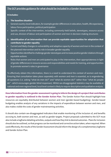#### **It includes:**

#### **1. The baseline situation**

- General country-level indicators, for example gender differences in education, health, life expectancy, labour force participation, political participation
- Specific context of the intervention, including commonly-held beliefs, stereotypes, resource access and use, division of labour and participation of women and men in decision-making structures
- **2. Identification of an intervention that can provide equitable opportunities for adaptation that contribute to gender equality**
- Current and likely changes in vulnerability and adaptive capacity of women and men in the context of the planned intervention and its role in broader gender equality
- Opportunities identified to challenge gender stereotypes and increase positive gender relations through equitable actions
- Roles that women and men are anticipated to play in the intervention, their appropriateness in light of gender differences in resource access and responsibilities and needs for training, and opportunities to promote women's roles in governance

To effectively obtain this information, there is a need to understand the context of women and men. Ensuring that consultation takes place separately with women and men is essential, as is engendering all questions (i.e. asking "what do men do?" and "what do women do?" rather than "what do people do" - which encourages gender blind responses). Whilst sex-disaggregated statistics may be available at national and even regional level, local level context is likely to require descriptive and qualitative analysis.

**How information from the gender assessment is going to inform the design of a project that contributes to gender equality is outlined in the Gender Action Plan**. The Gender Action Plan should highlight how resources are equitably distributed between women and men (gender-based budgeting). Gender-based budgeting enables analysis of any variations in the impacts of expenditure between women and men, and also makes visible the costs of gender mainstreaming activities.

It should also contain sex-disaggregated indicators that enable monitoring of the inclusion of, and benefits accruing to, both women and men, as well as gender targets. Project proposals submitted to the GCF must also include a logframe detailing activities, outputs and how they link to desired outcomes. Plans for inclusion should also be outlined, so that progress can be monitored and corrective action taken, when required. When used effectively, the results of the Gender Assessment should inform the design of a complementary logframe and Gender Action Plan.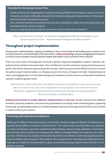#### **Checklist for the Gender Action Plan**

- Is data collection sex-disaggregated to enable monitoring of effects of the project on women and men?
- Are women (and girls) sufficiently included in the decision-making and implementation of the project, with the inclusion of quotas if necessary?
- Have sufficient financial and technical resources been allocated to enable the active participation of, and leadership by, women (and girls)?
- Is there an appropriate accountability mechanism in place to deal with complaints?

*"What is not measured is not done - so having sex-disaggregated indicators and targets ensures gender-responsive actions"* - National Disaster Management Office, eSwatini

# **Throughout project implementation**

During project implementation, ongoing consultation is key to ensure that all vulnerable groups continue to be actively involved in, and benefiting from the intervention. **Active monitoring,**using sex-disaggregated indicators, is critical to ensure progress towards (gender) targets and enable course correction where required.

There are many levels of management involved in gender-responsive adaptation projects: national, subnational, local, and then intervention level. *There will likely be a need for awareness raising and training around gender and climate change (as opposed to gender training - which many government officials may have received) throughout project implementation, as changing social norms does not happen overnight.* Empowering local actors and engaging them in work with existing local institutions and structures can help build institutional capacity to address gender issues.

*"We found that, at intervention level, the obstacle to women's participation in governance structures did not come from men - who were actually keen to encourage them - but rather from women themselves. Support from local traditional leadership was essential to change perceptions"*  - Direct Access Entity in southern Africa

**Building partnerships to enable effective implementation is also key.** Gender advisors from different ministries, university academics and civil society organisations can all play a role in reviewing plans, supporting monitoring, and generating evidence on implementation experiences through research (Direct Access Entity in southern Africa, pers comms).

## **Partnering with educational institutions**

Reflecting the different international policy frameworks, climate change and disaster risk reduction are typically led by different ministries at national level. This requires that concerted efforts are required to ensure coordination, given the complementarities between climate change adaptation and disaster risk reduction. Many countries are making specific efforts to integrate disaster risk reduction into school curricula. In Botswana, for example, this has been found to be very effective in indirectly targeting women, because children relay messages to their mothers when they get home. Teaching issues of gender from an early age can enable the next generation to grow up understanding equal opportunities and that no one gender is superior.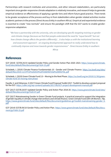Partnerships with research institutes and universities, and other relevant stakeholders, are particularly important since gender-responsive climate adaptation is relatively innovative, and research helps to generate empirical evidence on effectiveness of applying a gender lens and inform future good practice. There tends to be greater acceptance of the process and buy-in from stakeholders when gender related activities involve academic partners in the process (Direct Access Entity in southern Africa). Empirical and experiential evidence is essential to create "new normals" and ensure the paradigm shift that the GCF wants to enable genderresponsive adaptation.

*"We have a partnership with the university, who are developing specific targeting training on gender and climate change (because we find that people understand the need for "equal benefit" but not how climate change affects the genders differently)…it also helps us with the institutional learning and assessment approach – an ongoing developmental approach to really understand how to continually improve and move towards gender responsiveness" -* Direct Access Entity in southern Africa

## **References**

GCF (2019) GCF/B.24/15 Updated Gender Policy and Gender Action Plan 2020–2023. https://www.greenclimate. fund/sites/default/files/document/gcf-b24-15.pdf

Schalatek, L (2019) Climate FInance Fundamentals 10 - Gender and Climate Finance. https://us.boell.org/sites/ default/files/2019-11/CFF10%202019%20%5bENG%5d%20DIGITAL.pdf

Schalatek, L (2019) Green Climate Fund 2.0 – Moving to the Next Phase. https://us.boell.org/en/2019/11/30/greenclimate-fund-20-moving-next-phase

Fayolle, V. and Odianose, S (2017) Green Climate Fund Proposal Toolkit 2017. Toolkit to develop a project proposal for the GCF. https://cdkn.org/wp-content/uploads/2017/06/GCF-project-development-manual.pdf

GCF (2017) GCF/B.20/07 Updated Gender Policy and Action Plan 2018-20. https://www.greenclimate.fund/sites/ default/files/document/gcf-b20-07.pdf

GCF (2017) Mainstreaming Gender in Green Climate Fund projects. A practical manual to support the integration of gender equality in climate change interventions and climate finance. Green Climate Fund with UN Women. 78p. https://www.greenclimate.fund/sites/default/files/document/guidelines-gcf-toolkit-mainstreaming-gender\_0. pdf

GCF (2014) GCF/B.09/10 Gender Policy and Action Plan. https://www.greenclimate.fund/sites/default/files/document/gcf-b08-19.pdf